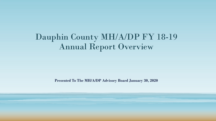## Dauphin County MH/A/DP FY 18-19 Annual Report Overview

**Presented To The MH/A/DP Advisory Board January 30, 2020**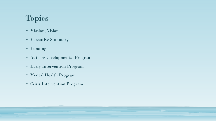### Topics

- Mission, Vision
- Executive Summary
- Funding
- Autism/Developmental Programs
- Early Intervention Program
- Mental Health Program
- Crisis Intervention Program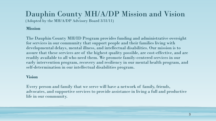# Dauphin County MH/A/DP Mission and Vision

(Adopted by the MH/A/DP Advisory Board 3/31/11)

#### **Mission**

The Dauphin County MH/ID Program provides funding and administrative oversight for services in our community that support people and their families living with developmental delays, mental illness, and intellectual disabilities. Our mission is to assure that these services are of the highest quality possible, are cost-effective, and are readily available to all who need them. We promote family-centered services in our early intervention program, recovery and resiliency in our mental health program, and self-determination in our intellectual disabilities program.

#### **Vision**

Every person and family that we serve will have a network of family, friends, advocates, and supportive services to provide assistance in living a full and productive life in our community.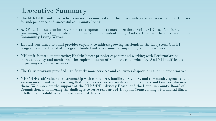#### Executive Summary

- The MH/A/DP continues to focus on services most vital to the individuals we serve to assure opportunities for independence and successful community living.
- A/DP staff focused on improving internal operations to maximize the use of our ID base funding, and continuing efforts to promote employment and independent living. And staff focused the expansion of the Community Living Waiver.
- EI staff continued to build provider capacity to address growing caseloads in the EI system. Our EI program also participated in a grant funded initiative aimed at improving school readiness.
- MH staff focused on improving HealthChoices provider capacity and working with PerformCare to increase quality and monitoring the implementation of value-based purchasing. And MH staff focused on improving residential services.
- The Crisis program provided significantly more services and consumer dispositions than in any prior year.
- MH/A/DP staff values our partnership with consumers, families, providers, and community agencies, and we remain committed to assuring that quality services are available to individuals and families who need them. We appreciate the support of the MH/A/DP Advisory Board, and the Dauphin County Board of Commissioners in meeting the challenges to serve residents of Dauphin County living with mental illness, intellectual disabilities, and developmental delays.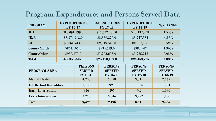#### Program Expenditures and Persons Served Data

| <b>PROGRAM</b>                   | <b>EXPENDITURES</b><br><b>FY 16-17</b> |                                                    | <b>EXPENDITURES</b><br><b>FY 17-18</b> |                                                    | <b>EXPENDITURES</b><br><b>FY 18-19</b>             | % CHANGE                                           |
|----------------------------------|----------------------------------------|----------------------------------------------------|----------------------------------------|----------------------------------------------------|----------------------------------------------------|----------------------------------------------------|
| <b>MH</b>                        | \$18,091,599.0                         |                                                    | \$17,632,106.0                         |                                                    | \$18,432,958                                       | 4.54%                                              |
| ID/A                             | \$3,376,918.0                          |                                                    | \$3,389,220.0                          |                                                    | \$3,247,535                                        | $-4.18%$                                           |
| EI                               | \$2,062,743.0                          |                                                    | \$2,319,549.0                          |                                                    | \$2,517,128                                        | 8.52%                                              |
| <b>County Match</b>              | \$871,106.0                            |                                                    | \$934,629.0                            |                                                    | \$980,947                                          | $4.96\%$                                           |
| <b>Grants/Other</b>              | \$956,479.0                            |                                                    | \$1,202,695.0                          |                                                    | \$1,275,217                                        | $6.03\%$                                           |
| <b>Total</b>                     | \$25,358,845.0                         |                                                    | \$25,478,199.0                         |                                                    | \$26,453,785                                       | 3.83%                                              |
| <b>PROGRAM AREA</b>              |                                        | <b>PERSONS</b><br><b>SERVED</b><br><b>FY 15-16</b> |                                        | <b>PERSONS</b><br><b>SERVED</b><br><b>FY 16-17</b> | <b>PERSONS</b><br><b>SERVED</b><br><b>FY 17-18</b> | <b>PERSONS</b><br><b>SERVED</b><br><b>FY 18-19</b> |
| <b>Mental Health</b>             |                                        | 4,208                                              |                                        | 3,958                                              | 3,041                                              | 2,779                                              |
| <b>Intellectual Disabilities</b> |                                        | 1,132                                              |                                        | 995                                                | 1,236                                              | 1,334                                              |
| <b>Early Intervention</b>        |                                        | 826                                                |                                        | 897                                                | 942                                                | 1,086                                              |
| <b>Crisis Intervention</b>       |                                        | 3,230                                              |                                        | 3,346                                              | 3,292                                              | 4,136                                              |
| <b>Total</b>                     |                                        | 9,396                                              |                                        | 9,196                                              | 8,511                                              | 9,335                                              |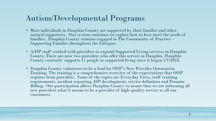#### Autism/Developmental Programs

- Most individuals in Dauphin County are supported by their families and other natural supporters. Our system continues to explore how to best meet the needs of families. Dauphin County remains engaged in The Community of Practice – Supporting Families throughout the Lifespan.
- A/DP staff worked with providers to expand Supported Living services in Dauphin County. There are now two providers who offer this service in Dauphin. Dauphin County currently supports 11 people in supported living since it began  $1/1/2018$ .
- Dauphin County volunteers to be a lead for ODP's New Provider Orientation Training. The training is a comprehensive overview of the expectations that ODP requires from providers. Some of the topics are Everyday Lives, staff training requirements, incident reporting, ISP development, service definition and Promise Billing. Our participation allows Dauphin County to assure that we are informing all new providers what it means to be a provider of high-quality service to all our consumers.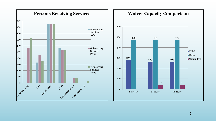

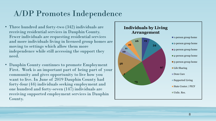#### A/DP Promotes Independence

- Three hundred and forty-two (342) individuals are receiving residential services in Dauphin County. Fewer individuals are requesting residential services and more individuals living in licensed group homes are moving to settings which allow them more independence while still accessing the support they need.
- Dauphin County continues to promote Employment First. Work is an important part of being part of your community and gives opportunity to live how you want to live. In June of 2019 Dauphin County had forty-four (44) individuals seeking employment and one hundred and forty-seven (147) individuals are receiving supported employment services in Dauphin County.

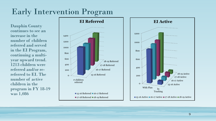## Early Intervention Program

Dauphin County continues to see an increase in the number of children referred and served in the EI Program, continuing a multiyear upward trend. 1213 children were referred and/or rereferred to EI. The number of active children in the program in FY 18-19 was 1,086



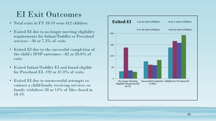#### EI Exit Outcomes

- Total exits in FY 18-19 were 412 children
- Exited EI due to no longer meeting eligibility requirements for Infant/Toddler or Preschool services—30 or 7.3% of exits
- Exited EI due to the successful completion of the child's IFSP outcomes—82 or 20.0% of exits
- Exited Infant/Toddler EI and found eligible for Preschool EI- 192 or 47.0% of exits
- Exited EI due to unsuccessful attempts to contact a child/family receiving services, or family withdrew-58 or 14% of files closed in 18-19.

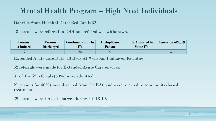#### Mental Health Program – High Need Individuals

Danville State Hospital Data: Bed Cap is 32

13 persons were referred to DSH one referral was withdrawn.

| <b>Persons</b><br>Admitted | <b>Persons</b><br><b>Discharged</b> | <b>Continuous Stay in</b> | <b>Unduplicated</b><br><b>Persons</b> | <b>Re Admitted in</b><br><b>Same FY</b> | $\vert$ Census on 6/30/19 |
|----------------------------|-------------------------------------|---------------------------|---------------------------------------|-----------------------------------------|---------------------------|
|                            |                                     | າາ                        | 44                                    |                                         | $\Omega$<br>∙             |

Extended Acute Care Data: 13 Beds At Wellspan Philhaven Facilities

52 referrals were made for Extended Acute Care services.

31 of the 52 referrals (60%) were admitted

21 persons (or 40%) were diverted from the EAC and were referred to community-based treatment

29 persons were EAC discharges during FY 18-19.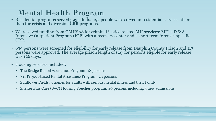## Mental Health Program

- Residential programs served 393 adults. 197 people were served in residential services other than the crisis and diversion CRR programs.
- We received funding from OMHSAS for criminal justice related MH services:  $MH + D & A$ Intensive Outpatient Program (IOP) with a recovery center and a short term forensic-specific CRR.
- 639 persons were screened for eligibility for early release from Dauphin County Prison and 117 persons were approved. The average prison length of stay for persons eligible for early release was 126 days.
- Housing services included:
	- The Bridge Rental Assistance Program: 18 persons
	- 811 Project-based Rental Assistance Program: 23 persons
	- Sunflower Fields: 5 homes for adults with serious mental illness and their family
	- Shelter Plus Care (S+C) Housing Voucher program: 40 persons including 5 new admissions.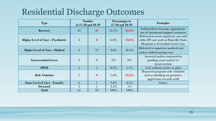## Residential Discharge Outcomes

| <b>Type</b>                               | <b>Number</b><br>in 17-18 and 18-19 |                  | Percentages in<br>17-18 and 18-19 |         | <b>Examples</b>                                                                                                        |
|-------------------------------------------|-------------------------------------|------------------|-----------------------------------|---------|------------------------------------------------------------------------------------------------------------------------|
| <b>Recovery</b>                           | 34                                  | 21               | 55.7%                             | 35.5%   | Independent housing, appropriate<br>use of treatment/support resources                                                 |
| <b>Higher Level of Care - Psychiatric</b> | $\overline{4}$                      | 8                | $6.6\%$                           | 13.6%   | Referred to acute inpatient care and<br>other IP care such as Danville State<br><b>Hospital or Extended Acute Care</b> |
| <b>Higher Level of Care - Medical</b>     | 6                                   | 12               | 9.8%                              | 20.3%   | Referred to inpatient medical care<br>and/or skilled nursing care                                                      |
| <b>Incarceration/Arrest</b>               | 3                                   | $\boldsymbol{0}$ | $5\%$                             | 0%      | Arrested and/or sentenced in<br>pending court matter to<br>incarceration                                               |
| <b>AWOL</b>                               | $\overline{5}$                      | $\overline{3}$   | 8.2%                              | $5.1\%$ | Left without notice or plan                                                                                            |
| <b>Rule Violation</b>                     | $\mathbf{1}$                        | 9                | $1.6\%$                           | 15.3%   | Repeated program rule violation<br>such as drinking on premises,<br>aggression towards staff                           |
| <b>Same Level of Care - Transfer</b>      | 6                                   | $\overline{5}$   | $9.8\%$                           | $8.5\%$ | Choice                                                                                                                 |
| <b>Deceased</b>                           | $\overline{2}$                      |                  | $3.3\%$                           | $1\%$   |                                                                                                                        |
| <b>Total</b>                              | 61                                  | 59               | $100\%$                           | $100\%$ |                                                                                                                        |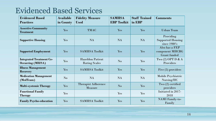#### Evidenced Based Services

| <b>Evidenced Based</b><br><b>Practices</b>                  | <b>Available</b><br>in County | <b>Fidelity Measure</b><br><b>Used</b>          | <b>SAMHSA</b><br><b>EBP Toolkit</b> | <b>Staff Trained</b><br>in EBP | <b>Comments</b>                                          |
|-------------------------------------------------------------|-------------------------------|-------------------------------------------------|-------------------------------------|--------------------------------|----------------------------------------------------------|
| <b>Assertive Community</b><br><b>Treatment</b>              | Yes                           | <b>TMAC</b>                                     | Yes                                 | Yes                            | <b>Urban Team</b>                                        |
| <b>Supportive Housing</b>                                   | Yes                           | <b>NA</b>                                       | <b>NA</b>                           | <b>NA</b>                      | Providing<br><b>Supported Housing</b><br>since 1980's    |
| <b>Supported Employment</b>                                 | Yes                           | <b>SAMHSA Toolkit</b>                           | Yes                                 | Yes                            | Also has a FEP<br>component MHCBG<br><b>Grant</b> funded |
| <b>Integrated Treatment Co-</b><br><b>Occurring (MH/SA)</b> | Yes                           | <b>Hazeldon Patient</b><br><b>Rating Scales</b> | $\mathbf{N}\mathbf{o}$              | Yes                            | Two $(2)$ OPT D & A<br>Providers                         |
| <b>Illness Management</b><br><b>Recovery</b>                | Yes                           | <b>SAMHSA Toolkit</b>                           | Yes                                 | Yes                            | Five (5) providers                                       |
| <b>Medication Management</b><br>(MedTeam)                   | $\mathbf{N}\mathbf{o}$        | <b>NA</b>                                       | <b>NA</b>                           | <b>NA</b>                      | Mobile Psychiatric<br>Nursing/HC                         |
| <b>Multi-systemic Therapy</b>                               | Yes                           | <b>Therapist Adherence</b><br><b>Measure</b>    | $\mathbf{N}\mathbf{o}$              | Yes                            | Two $(2)$ certified<br>providers                         |
| <b>Functional Family</b><br><b>Therapy</b>                  | Yes                           |                                                 | Yes                                 | Yes                            | Initiated in 2017-<br>2018                               |
| <b>Family Psycho-education</b>                              | Yes                           | <b>SAMHSA Toolkit</b>                           | Yes                                 | Yes                            | <b>NAMI</b> Family-to-<br>Family                         |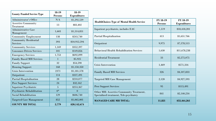| <b>County Funded Service Type</b>               | 18-19<br><b>Persons</b> | 18-19<br><b>Expenditures</b> |
|-------------------------------------------------|-------------------------|------------------------------|
| <b>Administrator's Office</b>                   | N/A                     | \$1,292,539                  |
| <b>Assertive Community</b><br>Treatment         | 13                      | \$83,402                     |
| <b>Administrative Case</b><br>Management        | 1,603                   | \$1,514,851                  |
| <b>Community Employment</b>                     | 138                     | \$243,740                    |
| <b>Community Residential</b><br><b>Services</b> | 393                     | \$10,912,594                 |
| <b>Community Services</b>                       | 1,169                   | \$352,397                    |
| <b>Consumer-Driven Services</b>                 | 101                     | \$149,856                    |
| <b>Emergency Services</b>                       | 1,753                   | \$692,099                    |
| <b>Family Based MH Services</b>                 | 1                       | \$5,925                      |
| <b>Family Support</b>                           | 32                      | \$54,590                     |
| <b>Housing Support</b>                          | 168                     | \$1,150,350                  |
| <b>Crisis Intervention</b>                      | 2371                    | \$1,181,578                  |
| Outpatient                                      | 114                     | \$337,491                    |
| <b>Partial Hospitalization</b>                  | 28                      | \$210,077                    |
| <b>Peer Support Services</b>                    | 24                      | \$32,162                     |
| <b>Inpatient Psychiatric</b>                    | 5                       | \$253,367                    |
| Psychiatric Rehabilitation                      | $0^*$                   | $\boldsymbol{0}$             |
| Social Rehabilitation                           | 129                     | \$606,740                    |
| <b>Targeted Case Management</b>                 | 852                     | \$1,065,001                  |
| <b>COUNTY MH TOTAL</b>                          | 2,779                   | \$20,142,674                 |

| <b>HealthChoices Type of Mental Health Service</b>                                 | FY 18-19<br><b>Persons</b> | FY 18-19<br><b>Expenditures</b> |
|------------------------------------------------------------------------------------|----------------------------|---------------------------------|
| Inpatient psychiatric, includes EAC                                                | 1,119                      | \$18,418,201                    |
| <b>Partial Hospitalization</b>                                                     | 413                        | \$1,651.766                     |
| Outpatient                                                                         | 9,975                      | \$7,578,513                     |
| <b>Behavioral Health Rehabilitation Services</b>                                   | 1,630                      | \$11,678,238                    |
| <b>Residential Treatment</b>                                                       | 33                         | \$2,275,075                     |
| Crisis Intervention                                                                | 1,469                      | \$571,316                       |
| <b>Family Based MH Services</b>                                                    | 326                        | \$4,107,833                     |
| Targeted MH Case Management                                                        | 2,120                      | \$4,927,593                     |
| <b>Peer Support Services</b>                                                       | 95                         | \$115,491                       |
| Other MH: Assertive Community Treatment,<br>Specialized treatment, Tele-psychiatry | 841                        | \$2,140,234                     |
| <b>MANAGED CARE MH TOTAL:</b>                                                      | 11,821                     | \$53,464,261                    |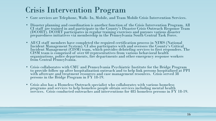### Crisis Intervention Program

- Core services are Telephone, Walk- In, Mobile, and Team Mobile Crisis Intervention Services.
- Disaster planning and coordination is another function of the Crisis Intervention Program. All CI staff are trained in and participate in the County's Disaster Crisis Outreach Response Team (DCORT). DCORT participates in regular training exercises and pursues various disaster  $\stackrel{\text{``per}}{\text{''}}$  preparedness initiatives via membership in the Pennsylvania South Central Task Force.
- All CI staff members have completed the required certification process in NIMS (National Incident Management System). CI also participates with and oversees the County's Critical Incident Management (CISM) team, which provides debriefing services to first responders. The CISM team is comprised of over 60 representatives from various behavioral health organizations, police departments, fire departments and other emergency response workers from Central Pennsylvania.
- Crisis collaborates with CMU and Pennsylvania Psychiatric Institute for the Bridge Program to provide follow up after hospitalization outreach and to help link persons hospitalized at PPI with aftercare and treatment resources and case management resources. Crisis served 38 persons in the Bridge Program in FY 18-19.
- Crisis also has a Homeless Outreach specialist who collaborates with various homeless programs and services to help homeless people obtain services including mental health services. Crisis conducted outreaches and interventions for 485 homeless persons in FY 18-19.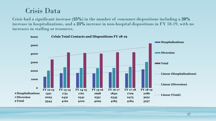#### Crisis Data

Crisis had a significant increase (**25%**) in the number of consumer dispositions including a **28%**  increase in hospitalizations, and a **23%** increase in non-hospital dispositions in FY 18-19, with no increases in staffing or resources.